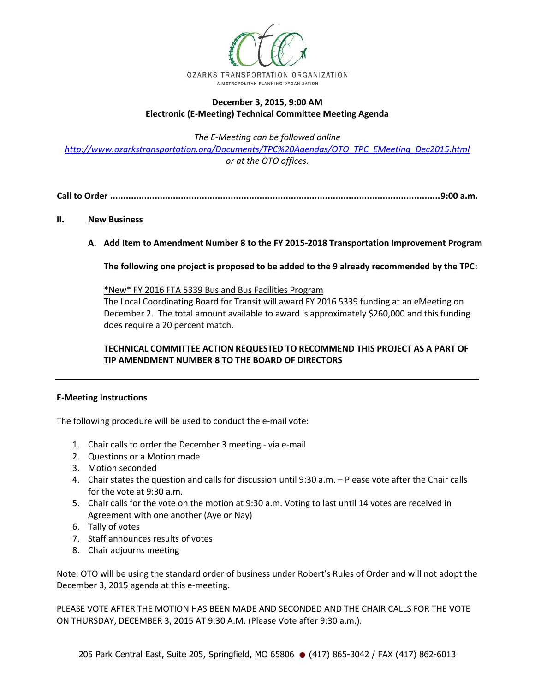

## **December 3, 2015, 9:00 AM Electronic (E-Meeting) Technical Committee Meeting Agenda**

*The E-Meeting can be followed online* 

*[http://www.ozarkstransportation.org/Documents/TPC%20Agendas/OTO\\_TPC\\_EMeeting\\_Dec2015.html](http://www.ozarkstransportation.org/Documents/TPC%20Agendas/OTO_TPC_EMeeting_Dec2015.html) or at the OTO offices.*

**Call to Order ..............................................................................................................................9:00 a.m.**

## **II. New Business**

**A. Add Item to Amendment Number 8 to the FY 2015-2018 Transportation Improvement Program**

**The following one project is proposed to be added to the 9 already recommended by the TPC:**

\*New\* FY 2016 FTA 5339 Bus and Bus Facilities Program

The Local Coordinating Board for Transit will award FY 2016 5339 funding at an eMeeting on December 2. The total amount available to award is approximately \$260,000 and this funding does require a 20 percent match.

## **TECHNICAL COMMITTEE ACTION REQUESTED TO RECOMMEND THIS PROJECT AS A PART OF TIP AMENDMENT NUMBER 8 TO THE BOARD OF DIRECTORS**

## **E-Meeting Instructions**

The following procedure will be used to conduct the e-mail vote:

- 1. Chair calls to order the December 3 meeting via e-mail
- 2. Questions or a Motion made
- 3. Motion seconded
- 4. Chair states the question and calls for discussion until 9:30 a.m. Please vote after the Chair calls for the vote at 9:30 a.m.
- 5. Chair calls for the vote on the motion at 9:30 a.m. Voting to last until 14 votes are received in Agreement with one another (Aye or Nay)
- 6. Tally of votes
- 7. Staff announces results of votes
- 8. Chair adjourns meeting

Note: OTO will be using the standard order of business under Robert's Rules of Order and will not adopt the December 3, 2015 agenda at this e-meeting.

PLEASE VOTE AFTER THE MOTION HAS BEEN MADE AND SECONDED AND THE CHAIR CALLS FOR THE VOTE ON THURSDAY, DECEMBER 3, 2015 AT 9:30 A.M. (Please Vote after 9:30 a.m.).